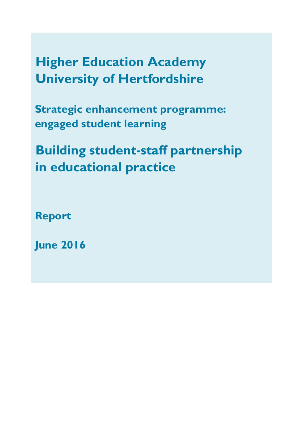**Higher Education Academy University of Hertfordshire** 

**Strategic enhancement programme: engaged student learning**

**Building student-staff partnership in educational practice**

**Report**

**June 2016**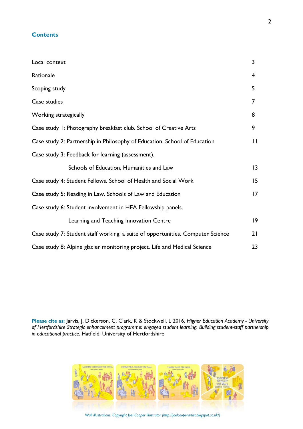## **Contents**

| Local context                                                                   | 3                       |
|---------------------------------------------------------------------------------|-------------------------|
| Rationale                                                                       | $\overline{\mathbf{4}}$ |
| Scoping study                                                                   | 5                       |
| Case studies                                                                    | 7                       |
| Working strategically                                                           | 8                       |
| Case study 1: Photography breakfast club. School of Creative Arts               | 9                       |
| Case study 2: Partnership in Philosophy of Education. School of Education       | $\mathbf{H}$            |
| Case study 3: Feedback for learning (assessment).                               |                         |
| Schools of Education, Humanities and Law                                        | 13                      |
| Case study 4: Student Fellows. School of Health and Social Work                 | 15                      |
| Case study 5: Reading in Law. Schools of Law and Education                      | 17                      |
| Case study 6: Student involvement in HEA Fellowship panels.                     |                         |
| Learning and Teaching Innovation Centre                                         | 9                       |
| Case study 7: Student staff working: a suite of opportunities. Computer Science | 21                      |
| Case study 8: Alpine glacier monitoring project. Life and Medical Science       | 23                      |

**Please cite as:** Jarvis, J, Dickerson, C, Clark, K & Stockwell, L 2016, *Higher Education Academy - University of Hertfordshire Strategic enhancement programme: engaged student learning. Building student-staff partnership in educational practice.* Hatfield: University of Hertfordshire



 *Wall illustrations: Copyright Joel Cooper Illustrator (http://joelcooperartist.blogspot.co.uk/)*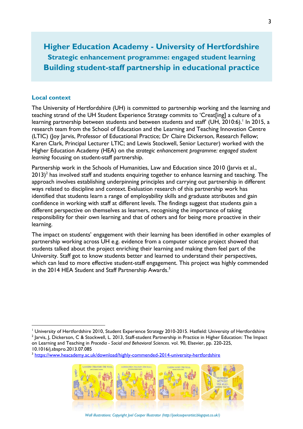**Higher Education Academy - University of Hertfordshire Strategic enhancement programme: engaged student learning Building student-staff partnership in educational practice**

#### **Local context**

 $\overline{a}$ 

The University of Hertfordshire (UH) is committed to partnership working and the learning and teaching strand of the UH Student Experience Strategy commits to 'Creat[ing] a culture of a learning partnership between students and between students and staff' (UH, 2010:6).' In 2015, a research team from the School of Education and the Learning and Teaching Innovation Centre (LTIC) (Joy Jarvis, Professor of Educational Practice; Dr Claire Dickerson, Research Fellow; Karen Clark, Principal Lecturer LTIC; and Lewis Stockwell, Senior Lecturer) worked with the Higher Education Academy (HEA) on the *strategic enhancement programme: engaged student learning* focusing on student-staff partnership.

Partnership work in the Schools of Humanities, Law and Education since 2010 (Jarvis et al., 2013) $^2$  has involved staff and students enquiring together to enhance learning and teaching. The approach involves establishing underpinning principles and carrying out partnership in different ways related to discipline and context. Evaluation research of this partnership work has identified that students learn a range of employability skills and graduate attributes and gain confidence in working with staff at different levels. The findings suggest that students gain a different perspective on themselves as learners, recognising the importance of taking responsibility for their own learning and that of others and for being more proactive in their learning.

The impact on students' engagement with their learning has been identified in other examples of partnership working across UH e.g. evidence from a computer science project showed that students talked about the project enriching their learning and making them feel part of the University. Staff got to know students better and learned to understand their perspectives, which can lead to more effective student-staff engagement. This project was highly commended in the 2014 HEA Student and Staff Partnership Awards.<sup>3</sup>

<sup>&</sup>lt;sup>3</sup> <https://www.heacademy.ac.uk/download/highly-commended-2014-university-hertfordshire>



 *Wall illustrations: Copyright Joel Cooper Illustrator (http://joelcooperartist.blogspot.co.uk/)* 

<sup>&</sup>lt;sup>1</sup> University of Hertfordshire 2010, Student Experience Strategy 2010-2015. Hatfield: University of Hertfordshire  $^2$  Jarvis, J, Dickerson, C & Stockwell, L. 2013, Staff-student Partnership in Practice in Higher Education: The Impact on Learning and Teaching in *Procedia - Social and Behavioral Sciences*. vol. 90, Elsevier, pp. 220-225, 10.1016/j.sbspro.2013.07.085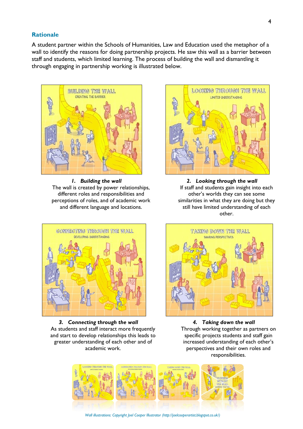#### **Rationale**

A student partner within the Schools of Humanities, Law and Education used the metaphor of a wall to identify the reasons for doing partnership projects. He saw this wall as a barrier between staff and students, which limited learning. The process of building the wall and dismantling it through engaging in partnership working is illustrated below.



*1. Building the wall* The wall is created by power relationships, different roles and responsibilities and perceptions of roles, and of academic work and different language and locations.



*2. Looking through the wall* If staff and students gain insight into each other's worlds they can see some similarities in what they are doing but they still have limited understanding of each other.



*3. Connecting through the wall* As students and staff interact more frequently and start to develop relationships this leads to greater understanding of each other and of academic work.



*4. Taking down the wall* Through working together as partners on specific projects students and staff gain increased understanding of each other's perspectives and their own roles and responsibilities.



 *Wall illustrations: Copyright Joel Cooper Illustrator (http://joelcooperartist.blogspot.co.uk/)*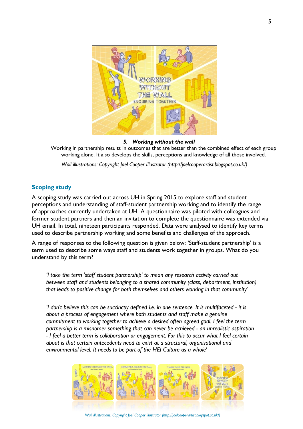

#### *5. Working without the wall*

Working in partnership results in outcomes that are better than the combined effect of each group working alone. It also develops the skills, perceptions and knowledge of all those involved.

*Wall illustrations: Copyright Joel Cooper Illustrator (http://joelcooperartist.blogspot.co.uk/)*

# **Scoping study**

A scoping study was carried out across UH in Spring 2015 to explore staff and student perceptions and understanding of staff-student partnership working and to identify the range of approaches currently undertaken at UH. A questionnaire was piloted with colleagues and former student partners and then an invitation to complete the questionnaire was extended via UH email. In total, nineteen participants responded. Data were analysed to identify key terms used to describe partnership working and some benefits and challenges of the approach.

A range of responses to the following question is given below: 'Staff-student partnership' is a term used to describe some ways staff and students work together in groups. What do you understand by this term?

*'I take the term 'staff student partnership' to mean any research activity carried out between staff and students belonging to a shared community (class, department, institution) that leads to positive change for both themselves and others working in that community'*

*'I don't believe this can be succinctly defined i.e. in one sentence. It is multifaceted - it is about a process of engagement where both students and staff make a genuine commitment to working together to achieve a desired often agreed goal. I feel the term partnership is a misnomer something that can never be achieved - an unrealistic aspiration - I feel a better term is collaboration or engagement. For this to occur what I feel certain about is that certain antecedents need to exist at a structural, organisational and environmental level. It needs to be part of the HEI Culture as a whole'*



 *Wall illustrations: Copyright Joel Cooper Illustrator (http://joelcooperartist.blogspot.co.uk/)*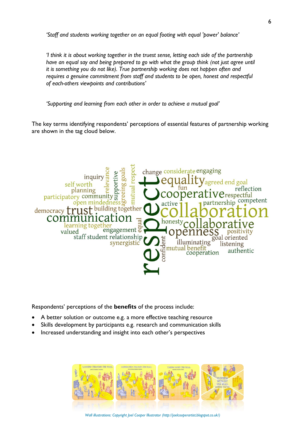*'Staff and students working together on an equal footing with equal 'power' balance'*

*'I think it is about working together in the truest sense, letting each side of the partnership have an equal say and being prepared to go with what the group think (not just agree until it is something you do not like). True partnership working does not happen often and requires a genuine commitment from staff and students to be open, honest and respectful of each-others viewpoints and contributions'*

*'Supporting and learning from each other in order to achieve a mutual goal'*

The key terms identifying respondents' perceptions of essential features of partnership working are shown in the tag cloud below.



Respondents' perceptions of the **benefits** of the process include:

- A better solution or outcome e.g. a more effective teaching resource
- Skills development by participants e.g. research and communication skills
- Increased understanding and insight into each other's perspectives

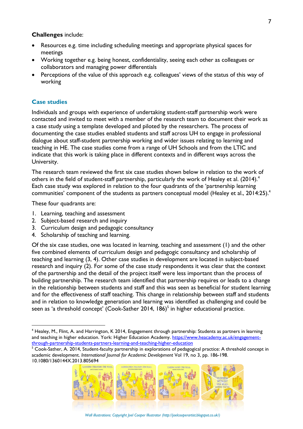#### **Challenges** include:

- Resources e.g. time including scheduling meetings and appropriate physical spaces for meetings
- Working together e.g. being honest, confidentiality, seeing each other as colleagues or collaborators and managing power differentials
- Perceptions of the value of this approach e.g. colleagues' views of the status of this way of working

### **Case studies**

Individuals and groups with experience of undertaking student-staff partnership work were contacted and invited to meet with a member of the research team to document their work as a case study using a template developed and piloted by the researchers. The process of documenting the case studies enabled students and staff across UH to engage in professional dialogue about staff-student partnership working and wider issues relating to learning and teaching in HE. The case studies come from a range of UH Schools and from the LTIC and indicate that this work is taking place in different contexts and in different ways across the University.

The research team reviewed the first six case studies shown below in relation to the work of others in the field of student-staff partnership, particularly the work of Healey et al. (2014).<sup>4</sup> Each case study was explored in relation to the four quadrants of the 'partnership learning communities' component of the students as partners conceptual model (Healey et al., 2014:25).<sup>4</sup>

These four quadrants are:

 $\overline{a}$ 

- 1. Learning, teaching and assessment
- 2. Subject-based research and inquiry
- 3. Curriculum design and pedagogic consultancy
- 4. Scholarship of teaching and learning.

Of the six case studies, one was located in learning, teaching and assessment (1) and the other five combined elements of curriculum design and pedagogic consultancy and scholarship of teaching and learning (3, 4). Other case studies in development are located in subject-based research and inquiry (2). For some of the case study respondents it was clear that the context of the partnership and the detail of the project itself were less important than the process of building partnership. The research team identified that partnership requires or leads to a change in the relationship between students and staff and this was seen as beneficial for student learning and for the effectiveness of staff teaching. This change in relationship between staff and students and in relation to knowledge generation and learning was identified as challenging and could be seen as 'a threshold concept' (Cook-Sather 2014, 186)<sup>5</sup> in higher educational practice.

<sup>&</sup>lt;sup>5</sup> Cook-Sather, A. 2014, Student-faculty partnership in explorations of pedagogical practice: A threshold concept in academic development. *International Journal for Academic Development* Vol 19, no 3, pp. 186-198. 10.1080/1360144X.2013.805694



 *Wall illustrations: Copyright Joel Cooper Illustrator (http://joelcooperartist.blogspot.co.uk/)* 

<sup>&</sup>lt;sup>4</sup> Healey, M., Flint, A. and Harrington, K 2014, Engagement through partnership: Students as partners in learning and teaching in higher education. York: Higher Education Academy. [https://www.heacademy.ac.uk/engagement](https://www.heacademy.ac.uk/engagement-through-partnership-students-partners-learning-and-teaching-higher-education)[through-partnership-students-partners-learning-and-teaching-higher-education](https://www.heacademy.ac.uk/engagement-through-partnership-students-partners-learning-and-teaching-higher-education)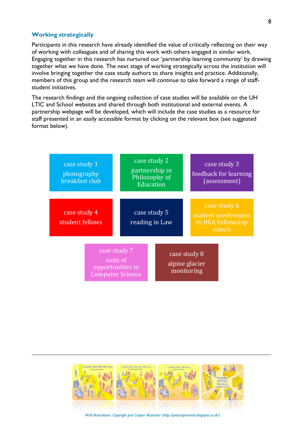#### **Working strategically**

l

Participants in this research have already identified the value of critically reflecting on their way of working with colleagues and of sharing this work with others engaged in similar work. Engaging together in this research has nurtured our 'partnership learning community' by drawing together what we have done. The next stage of working strategically across the institution will involve bringing together the case study authors to share insights and practice. Additionally, members of this group and the research team will continue to take forward a range of staffstudent initiatives.

The research findings and the ongoing collection of case studies will be available on the UH LTIC and School websites and shared through both institutional and external events. A partnership webpage will be developed, which will include the case studies as a resource for staff presented in an easily accessible format by clicking on the relevant box (see suggested format below).





 *Wall illustrations: Copyright Joel Cooper Illustrator (http://joelcooperartist.blogspot.co.uk/)*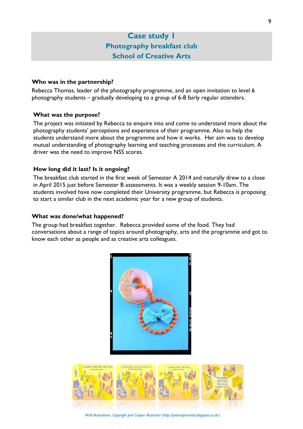# **Case study 1 Photography breakfast club School of Creative Arts**

## **Who was in the partnership?**

Rebecca Thomas, leader of the photography programme, and an open invitation to level 6 photography students – gradually developing to a group of 6-8 fairly regular attenders.

# **What was the purpose?**

The project was initiated by Rebecca to enquire into and come to understand more about the photography students' perceptions and experience of their programme. Also to help the students understand more about the programme and how it works. Her aim was to develop mutual understanding of photography learning and teaching processes and the curriculum. A driver was the need to improve NSS scores.

# **How long did it last? Is it ongoing?**

The breakfast club started in the first week of Semester A 2014 and naturally drew to a close in April 2015 just before Semester B assessments. It was a weekly session 9-10am. The students involved have now completed their University programme, but Rebecca is proposing to start a similar club in the next academic year for a new group of students.

## **What was done/what happened?**

The group had breakfast together. Rebecca provided some of the food. They had conversations about a range of topics around photography, arts and the programme and got to know each other as people and as creative arts colleagues.





 *Wall illustrations: Copyright Joel Cooper Illustrator (http://joelcooperartist.blogspot.co.uk/)*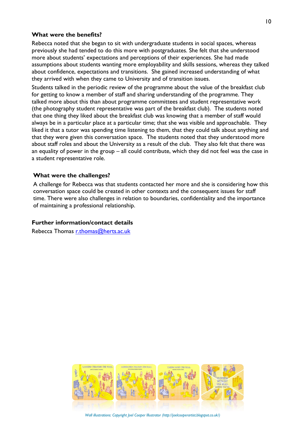Rebecca noted that she began to sit with undergraduate students in social spaces, whereas previously she had tended to do this more with postgraduates. She felt that she understood more about students' expectations and perceptions of their experiences. She had made assumptions about students wanting more employability and skills sessions, whereas they talked about confidence, expectations and transitions. She gained increased understanding of what they arrived with when they came to University and of transition issues.

Students talked in the periodic review of the programme about the value of the breakfast club for getting to know a member of staff and sharing understanding of the programme. They talked more about this than about programme committees and student representative work (the photography student representative was part of the breakfast club). The students noted that one thing they liked about the breakfast club was knowing that a member of staff would always be in a particular place at a particular time; that she was visible and approachable. They liked it that a tutor was spending time listening to them, that they could talk about anything and that they were given this conversation space. The students noted that they understood more about staff roles and about the University as a result of the club. They also felt that there was an equality of power in the group – all could contribute, which they did not feel was the case in a student representative role.

#### **What were the challenges?**

A challenge for Rebecca was that students contacted her more and she is considering how this conversation space could be created in other contexts and the consequent issues for staff time. There were also challenges in relation to boundaries, confidentiality and the importance of maintaining a professional relationship.

# **Further information/contact details**

Rebecca Thomas [r.thomas@herts.ac.uk](mailto:r.thomas@herts.ac.uk)



 *Wall illustrations: Copyright Joel Cooper Illustrator (http://joelcooperartist.blogspot.co.uk/)*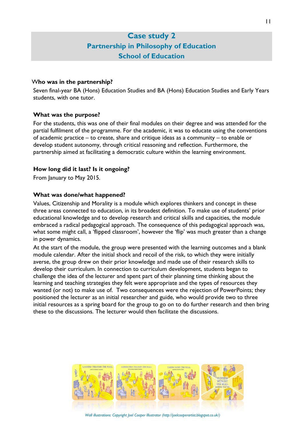# **Case study 2 Partnership in Philosophy of Education School of Education**

## W**ho was in the partnership?**

Seven final-year BA (Hons) Education Studies and BA (Hons) Education Studies and Early Years students, with one tutor.

# **What was the purpose?**

For the students, this was one of their final modules on their degree and was attended for the partial fulfilment of the programme. For the academic, it was to educate using the conventions of academic practice – to create, share and critique ideas as a community – to enable or develop student autonomy, through critical reasoning and reflection. Furthermore, the partnership aimed at facilitating a democratic culture within the learning environment.

# **How long did it last? Is it ongoing?**

From January to May 2015.

# **What was done/what happened?**

Values, Citizenship and Morality is a module which explores thinkers and concept in these three areas connected to education, in its broadest definition. To make use of students' prior educational knowledge and to develop research and critical skills and capacities, the module embraced a radical pedagogical approach. The consequence of this pedagogical approach was, what some might call, a 'flipped classroom', however the 'flip' was much greater than a change in power dynamics.

At the start of the module, the group were presented with the learning outcomes and a blank module calendar. After the initial shock and recoil of the risk, to which they were initially averse, the group drew on their prior knowledge and made use of their research skills to develop their curriculum. In connection to curriculum development, students began to challenge the idea of the lecturer and spent part of their planning time thinking about the learning and teaching strategies they felt were appropriate and the types of resources they wanted (or not) to make use of. Two consequences were the rejection of PowerPoints; they positioned the lecturer as an initial researcher and guide, who would provide two to three initial resources as a spring board for the group to go on to do further research and then bring these to the discussions. The lecturer would then facilitate the discussions.



 *Wall illustrations: Copyright Joel Cooper Illustrator (http://joelcooperartist.blogspot.co.uk/)*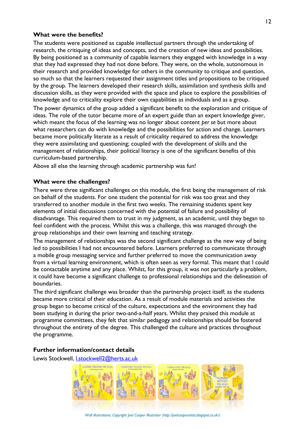The students were positioned as capable intellectual partners through the undertaking of research, the critiquing of ideas and concepts, and the creation of new ideas and possibilities. By being positioned as a community of capable learners they engaged with knowledge in a way that they had expressed they had not done before. They were, on the whole, autonomous in their research and provided knowledge for others in the community to critique and question, so much so that the learners requested their assignment titles and propositions to be critiqued by the group. The learners developed their research skills, assimilation and synthesis skills and discussion skills, as they were provided with the space and place to explore the possibilities of knowledge and to criticality explore their own capabilities as individuals and as a group.

The power dynamics of the group added a significant benefit to the exploration and critique of ideas. The role of the tutor became more of an expert guide than an expert knowledge giver, which meant the focus of the learning was no longer about content *per se* but more about what researchers can do with knowledge and the possibilities for action and change. Learners became more politically literate as a result of criticality required to address the knowledge they were assimilating and questioning; coupled with the development of skills and the management of relationships, their political literacy is one of the significant benefits of this curriculum-based partnership.

Above all else the learning through academic partnership was fun!

# **What were the challenges?**

There were three significant challenges on this module, the first being the management of risk on behalf of the students. For one student the potential for risk was too great and they transferred to another module in the first two weeks. The remaining students spent key elements of initial discussions concerned with the potential of failure and possibility of disadvantage. This required them to trust in my judgment, as an academic, until they began to feel confident with the process. Whilst this was a challenge, this was managed through the group relationships and their own learning and teaching strategy.

The management of relationships was the second significant challenge as the new way of being led to possibilities I had not encountered before. Learners preferred to communicate through a mobile group messaging service and further preferred to move the communication away from a virtual learning environment, which is often seen as very formal. This meant that I could be contactable anytime and any place. Whilst, for this group, it was not particularly a problem, it could have become a significant challenge to professional relationships and the delineation of boundaries.

The third significant challenge was broader than the partnership project itself; as the students became more critical of their education. As a result of module materials and activities the group began to become critical of the culture, expectations and the environment they had been studying in during the prior two-and-a-half years. Whilst they praised this module at programme committees, they felt that similar pedagogy and relationships should be fostered throughout the entirety of the degree. This challenged the culture and practices throughout the programme.

## **Further information/contact details**

Lewis Stockwell, **Lstockwell2@herts.ac.uk** 



 *Wall illustrations: Copyright Joel Cooper Illustrator (http://joelcooperartist.blogspot.co.uk/)*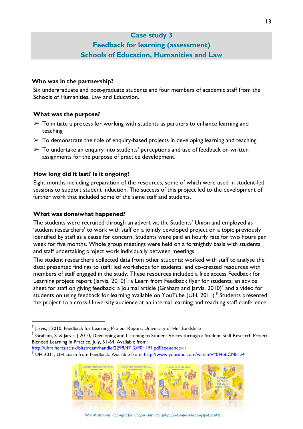# **Case study 3**

# **Feedback for learning (assessment) Schools of Education, Humanities and Law**

## **Who was in the partnership?**

Six undergraduate and post-graduate students and four members of academic staff from the Schools of Humanities, Law and Education.

# **What was the purpose?**

- $\triangleright$  To initiate a process for working with students as partners to enhance learning and teaching
- $\triangleright$  To demonstrate the role of enquiry-based projects in developing learning and teaching
- $\triangleright$  To undertake an enquiry into students' perceptions and use of feedback on written assignments for the purpose of practice development.

# **How long did it last? Is it ongoing?**

Eight months including preparation of the resources, some of which were used in student-led sessions to support student induction. The success of this project led to the development of further work that included some of the same staff and students.

# **What was done/what happened?**

 $\overline{a}$ 

The students were recruited through an advert via the Students' Union and employed as 'student researchers' to work with staff on a jointly developed project on a topic previously identified by staff as a cause for concern. Students were paid an hourly rate for two hours per week for five months. Whole group meetings were held on a fortnightly basis with students and staff undertaking project work individually between meetings.

The student researchers collected data from other students; worked with staff to analyse the data; presented findings to staff; led workshops for students; and co-created resources with members of staff engaged in the study. These resources included a free access Feedback for Learning project report (Jarvis, 2010) $^6$ ; a Learn from Feedback flyer for students; an advice sheet for staff on giving feedback; a journal article (Graham and Jarvis, 2010)<sup>7</sup> and a video for students on using feedback for learning available on YouTube (UH, 2011).<sup>8</sup> Students presented the project to a cross-University audience at an internal learning and teaching staff conference.

<sup>8</sup> UH 2011, UH Learn from Feedback. Available from:<http://www.youtube.com/watch?v=0HbbCNIr-z4>



 $^6$  Jarvis, J 2010, Feedback for Learning Project Report. University of Hertfordshire

 $^7$  Graham, S. & Jarvis, J 2010, Developing and Listening to Student Voices through a Student-Staff Research Project. Blended Learning in Practice, July, 61-64. Available from:

<http://uhra.herts.ac.uk/bitstream/handle/2299/4712/904194.pdf?sequence=1>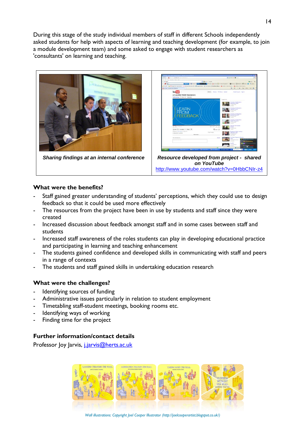During this stage of the study individual members of staff in different Schools independently asked students for help with aspects of learning and teaching development (for example, to join a module development team) and some asked to engage with student researchers as 'consultants' on learning and teaching.



# **What were the benefits?**

- Staff gained greater understanding of students' perceptions, which they could use to design feedback so that it could be used more effectively
- The resources from the project have been in use by students and staff since they were created
- Increased discussion about feedback amongst staff and in some cases between staff and students
- Increased staff awareness of the roles students can play in developing educational practice and participating in learning and teaching enhancement
- The students gained confidence and developed skills in communicating with staff and peers in a range of contexts
- The students and staff gained skills in undertaking education research

# **What were the challenges?**

- Identifying sources of funding
- Administrative issues particularly in relation to student employment
- Timetabling staff-student meetings, booking rooms etc.
- Identifying ways of working
- Finding time for the project

# **Further information/contact details**

Professor Joy Jarvis, *j.jarvis@herts.ac.uk* 

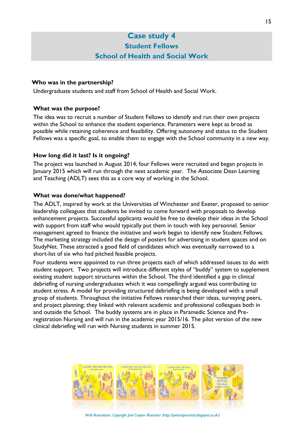# **Case study 4 Student Fellows School of Health and Social Work**

# **Who was in the partnership?**

Undergraduate students and staff from School of Health and Social Work.

# **What was the purpose?**

The idea was to recruit a number of Student Fellows to identify and run their own projects within the School to enhance the student experience. Parameters were kept as broad as possible while retaining coherence and feasibility. Offering autonomy and status to the Student Fellows was a specific goal, to enable them to engage with the School community in a new way.

# **How long did it last? Is it ongoing?**

The project was launched in August 2014, four Fellows were recruited and began projects in January 2015 which will run through the next academic year. The Associate Dean Learning and Teaching (ADLT) sees this as a core way of working in the School.

## **What was done/what happened?**

The ADLT, inspired by work at the Universities of Winchester and Exeter, proposed to senior leadership colleagues that students be invited to come forward with proposals to develop enhancement projects. Successful applicants would be free to develop their ideas in the School with support from staff who would typically put them in touch with key personnel. Senior management agreed to finance the initiative and work began to identify new Student Fellows. The marketing strategy included the design of posters for advertising in student spaces and on StudyNet. These attracted a good field of candidates which was eventually narrowed to a short-list of six who had pitched feasible projects.

Four students were appointed to run three projects each of which addressed issues to do with student support. Two projects will introduce different styles of "buddy" system to supplement existing student support structures within the School. The third identified a gap in clinical debriefing of nursing undergraduates which it was compellingly argued was contributing to student stress. A model for providing structured debriefing is being developed with a small group of students. Throughout the initiative Fellows researched their ideas, surveying peers, and project planning; they linked with relevant academic and professional colleagues both in and outside the School. The buddy systems are in place in Paramedic Science and Preregistration Nursing and will run in the academic year 2015/16. The pilot version of the new clinical debriefing will run with Nursing students in summer 2015.



 *Wall illustrations: Copyright Joel Cooper Illustrator (http://joelcooperartist.blogspot.co.uk/)*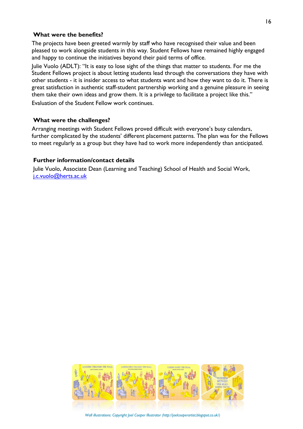The projects have been greeted warmly by staff who have recognised their value and been pleased to work alongside students in this way. Student Fellows have remained highly engaged and happy to continue the initiatives beyond their paid terms of office.

Julie Vuolo (ADLT): "It is easy to lose sight of the things that matter to students. For me the Student Fellows project is about letting students lead through the conversations they have with other students - it is insider access to what students want and how they want to do it. There is great satisfaction in authentic staff-student partnership working and a genuine pleasure in seeing them take their own ideas and grow them. It is a privilege to facilitate a project like this." Evaluation of the Student Fellow work continues.

#### **What were the challenges?**

Arranging meetings with Student Fellows proved difficult with everyone's busy calendars, further complicated by the students' different placement patterns. The plan was for the Fellows to meet regularly as a group but they have had to work more independently than anticipated.

#### **Further information/contact details**

Julie Vuolo, Associate Dean (Learning and Teaching) School of Health and Social Work, [j.c.vuolo@herts.ac.uk](mailto:j.c.vuolo@herts.ac.uk)

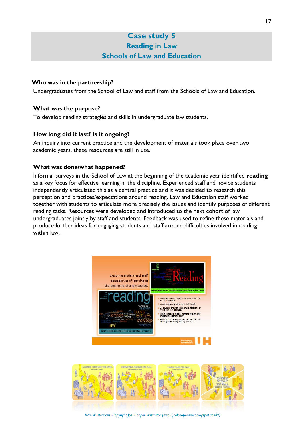# **Case study 5 Reading in Law Schools of Law and Education**

# **Who was in the partnership?**

Undergraduates from the School of Law and staff from the Schools of Law and Education.

# **What was the purpose?**

To develop reading strategies and skills in undergraduate law students.

# **How long did it last? Is it ongoing?**

An inquiry into current practice and the development of materials took place over two academic years, these resources are still in use.

# **What was done/what happened?**

Informal surveys in the School of Law at the beginning of the academic year identified **reading** as a key focus for effective learning in the discipline. Experienced staff and novice students independently articulated this as a central practice and it was decided to research this perception and practices/expectations around reading. Law and Education staff worked together with students to articulate more precisely the issues and identify purposes of different reading tasks. Resources were developed and introduced to the next cohort of law undergraduates jointly by staff and students. Feedback was used to refine these materials and produce further ideas for engaging students and staff around difficulties involved in reading within law.





 *Wall illustrations: Copyright Joel Cooper Illustrator (http://joelcooperartist.blogspot.co.uk/)*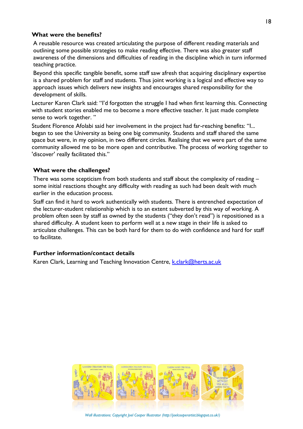A reusable resource was created articulating the purpose of different reading materials and outlining some possible strategies to make reading effective. There was also greater staff awareness of the dimensions and difficulties of reading in the discipline which in turn informed teaching practice.

Beyond this specific tangible benefit, some staff saw afresh that acquiring disciplinary expertise is a shared problem for staff and students. Thus joint working is a logical and effective way to approach issues which delivers new insights and encourages shared responsibility for the development of skills.

Lecturer Karen Clark said: "I'd forgotten the struggle I had when first learning this. Connecting with student stories enabled me to become a more effective teacher. It just made complete sense to work together. "

Student Florence Afolabi said her involvement in the project had far-reaching benefits: "I... began to see the University as being one big community. Students and staff shared the same space but were, in my opinion, in two different circles. Realising that we were part of the same community allowed me to be more open and contributive. The process of working together to 'discover' really facilitated this."

# **What were the challenges?**

There was some scepticism from both students and staff about the complexity of reading – some initial reactions thought any difficulty with reading as such had been dealt with much earlier in the education process.

Staff can find it hard to work authentically with students. There is entrenched expectation of the lecturer-student relationship which is to an extent subverted by this way of working. A problem often seen by staff as owned by the students ("they don't read") is repositioned as a shared difficulty. A student keen to perform well at a new stage in their life is asked to articulate challenges. This can be both hard for them to do with confidence and hard for staff to facilitate.

## **Further information/contact details**

Karen Clark, Learning and Teaching Innovation Centre, *k.clark@herts.ac.uk* 



 *Wall illustrations: Copyright Joel Cooper Illustrator (http://joelcooperartist.blogspot.co.uk/)*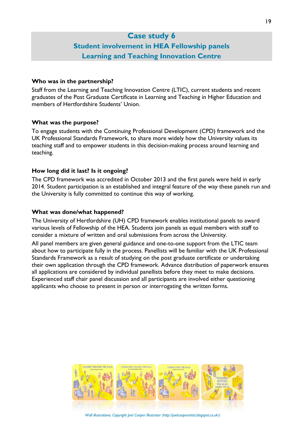# **Case study 6 Student involvement in HEA Fellowship panels Learning and Teaching Innovation Centre**

#### **Who was in the partnership?**

Staff from the Learning and Teaching Innovation Centre (LTIC), current students and recent graduates of the Post Graduate Certificate in Learning and Teaching in Higher Education and members of Hertfordshire Students' Union.

#### **What was the purpose?**

To engage students with the Continuing Professional Development (CPD) framework and the UK Professional Standards Framework, to share more widely how the University values its teaching staff and to empower students in this decision-making process around learning and teaching.

### **How long did it last? Is it ongoing?**

The CPD framework was accredited in October 2013 and the first panels were held in early 2014. Student participation is an established and integral feature of the way these panels run and the University is fully committed to continue this way of working.

#### **What was done/what happened?**

The University of Hertfordshire (UH) CPD framework enables institutional panels to award various levels of Fellowship of the HEA. Students join panels as equal members with staff to consider a mixture of written and oral submissions from across the University.

All panel members are given general guidance and one-to-one support from the LTIC team about how to participate fully in the process. Panellists will be familiar with the UK Professional Standards Framework as a result of studying on the post graduate certificate or undertaking their own application through the CPD framework. Advance distribution of paperwork ensures all applications are considered by individual panellists before they meet to make decisions. Experienced staff chair panel discussion and all participants are involved either questioning applicants who choose to present in person or interrogating the written forms.

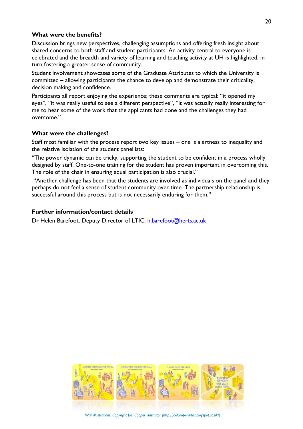Discussion brings new perspectives, challenging assumptions and offering fresh insight about shared concerns to both staff and student participants. An activity central to everyone is celebrated and the breadth and variety of learning and teaching activity at UH is highlighted, in turn fostering a greater sense of community.

Student involvement showcases some of the Graduate Attributes to which the University is committed – allowing participants the chance to develop and demonstrate their criticality, decision making and confidence.

Participants all report enjoying the experience; these comments are typical: "it opened my eyes", "it was really useful to see a different perspective", "it was actually really interesting for me to hear some of the work that the applicants had done and the challenges they had overcome."

# **What were the challenges?**

Staff most familiar with the process report two key issues – one is alertness to inequality and the relative isolation of the student panellists:

"The power dynamic can be tricky, supporting the student to be confident in a process wholly designed by staff. One-to-one training for the student has proven important in overcoming this. The role of the chair in ensuring equal participation is also crucial."

"Another challenge has been that the students are involved as individuals on the panel and they perhaps do not feel a sense of student community over time. The partnership relationship is successful around this process but is not necessarily enduring for them."

## **Further information/contact details**

Dr Helen Barefoot, Deputy Director of LTIC, [h.barefoot@herts.ac.uk](mailto:h.barefoot@herts.ac.uk)



 *Wall illustrations: Copyright Joel Cooper Illustrator (http://joelcooperartist.blogspot.co.uk/)*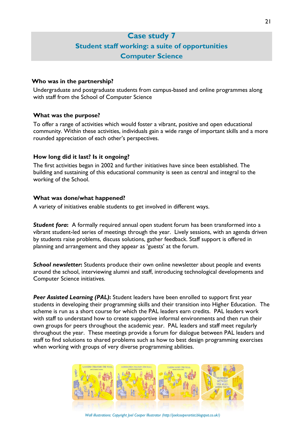# **Case study 7 Student staff working: a suite of opportunities Computer Science**

#### **Who was in the partnership?**

Undergraduate and postgraduate students from campus-based and online programmes along with staff from the School of Computer Science

## **What was the purpose?**

To offer a range of activities which would foster a vibrant, positive and open educational community. Within these activities, individuals gain a wide range of important skills and a more rounded appreciation of each other's perspectives.

#### **How long did it last? Is it ongoing?**

The first activities began in 2002 and further initiatives have since been established. The building and sustaining of this educational community is seen as central and integral to the working of the School.

#### **What was done/what happened?**

A variety of initiatives enable students to get involved in different ways.

*Student fora***:** A formally required annual open student forum has been transformed into a vibrant student-led series of meetings through the year. Lively sessions, with an agenda driven by students raise problems, discuss solutions, gather feedback. Staff support is offered in planning and arrangement and they appear as 'guests' at the forum.

**School newsletter:** Students produce their own online newsletter about people and events around the school, interviewing alumni and staff, introducing technological developments and Computer Science initiatives.

*Peer Assisted Learning (PAL)***:** Student leaders have been enrolled to support first year students in developing their programming skills and their transition into Higher Education. The scheme is run as a short course for which the PAL leaders earn credits. PAL leaders work with staff to understand how to create supportive informal environments and then run their own groups for peers throughout the academic year. PAL leaders and staff meet regularly throughout the year. These meetings provide a forum for dialogue between PAL leaders and staff to find solutions to shared problems such as how to best design programming exercises when working with groups of very diverse programming abilities.



 *Wall illustrations: Copyright Joel Cooper Illustrator (http://joelcooperartist.blogspot.co.uk/)*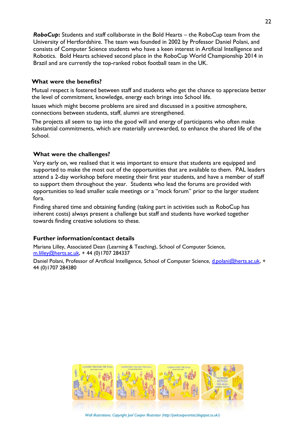**RoboCup:** Students and staff collaborate in the Bold Hearts – the RoboCup team from the University of Hertfordshire. The team was founded in 2002 by Professor Daniel Polani, and consists of Computer Science students who have a keen interest in Artificial Intelligence and Robotics. Bold Hearts achieved second place in the RoboCup World Championship 2014 in Brazil and are currently the top-ranked robot football team in the UK.

## **What were the benefits?**

Mutual respect is fostered between staff and students who get the chance to appreciate better the level of commitment, knowledge, energy each brings into School life.

Issues which might become problems are aired and discussed in a positive atmosphere, connections between students, staff, alumni are strengthened.

The projects all seem to tap into the good will and energy of participants who often make substantial commitments, which are materially unrewarded, to enhance the shared life of the School.

# **What were the challenges?**

Very early on, we realised that it was important to ensure that students are equipped and supported to make the most out of the opportunities that are available to them. PAL leaders attend a 2-day workshop before meeting their first year students, and have a member of staff to support them throughout the year. Students who lead the forums are provided with opportunities to lead smaller scale meetings or a "mock forum" prior to the larger student fora.

Finding shared time and obtaining funding (taking part in activities such as RoboCup has inherent costs) always present a challenge but staff and students have worked together towards finding creative solutions to these.

# **Further information/contact details**

Mariana Lilley, Associated Dean (Learning & Teaching), School of Computer Science, [m.lilley@herts.ac.uk,](mailto:m.lilley@herts.ac.uk) + 44 (0)1707 284337 Daniel Polani, Professor of Artificial Intelligence, School of Computer Science, [d.polani@herts.ac.uk,](mailto:d.polani@herts.ac.uk) +

44 (0)1707 284380

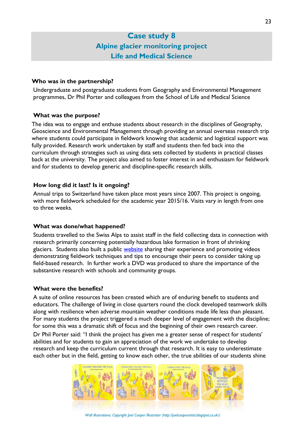# **Case study 8 Alpine glacier monitoring project Life and Medical Science**

## **Who was in the partnership?**

Undergraduate and postgraduate students from Geography and Environmental Management programmes, Dr Phil Porter and colleagues from the School of Life and Medical Science

# **What was the purpose?**

The idea was to engage and enthuse students about research in the disciplines of Geography, Geoscience and Environmental Management through providing an annual overseas research trip where students could participate in fieldwork knowing that academic and logistical support was fully provided. Research work undertaken by staff and students then fed back into the curriculum through strategies such as using data sets collected by students in practical classes back at the university. The project also aimed to foster interest in and enthusiasm for fieldwork and for students to develop generic and discipline-specific research skills.

# **How long did it last? Is it ongoing?**

Annual trips to Switzerland have taken place most years since 2007. This project is ongoing, with more fieldwork scheduled for the academic year 2015/16. Visits vary in length from one to three weeks.

# **What was done/what happened?**

Students travelled to the Swiss Alps to assist staff in the field collecting data in connection with research primarily concerning potentially hazardous lake formation in front of shrinking glaciers. Students also built a public [website](http://sarahnolan15.wix.com/fieldworkforstudents) sharing their experience and promoting videos demonstrating fieldwork techniques and tips to encourage their peers to consider taking up field-based research. In further work a DVD was produced to share the importance of the substantive research with schools and community groups.

# **What were the benefits?**

A suite of online resources has been created which are of enduring benefit to students and educators. The challenge of living in close quarters round the clock developed teamwork skills along with resilience when adverse mountain weather conditions made life less than pleasant. For many students the project triggered a much deeper level of engagement with the discipline; for some this was a dramatic shift of focus and the beginning of their own research career.

Dr Phil Porter said: "I think the project has given me a greater sense of respect for students' abilities and for students to gain an appreciation of the work we undertake to develop research and keep the curriculum current through that research. It is easy to underestimate each other but in the field, getting to know each other, the true abilities of our students shine